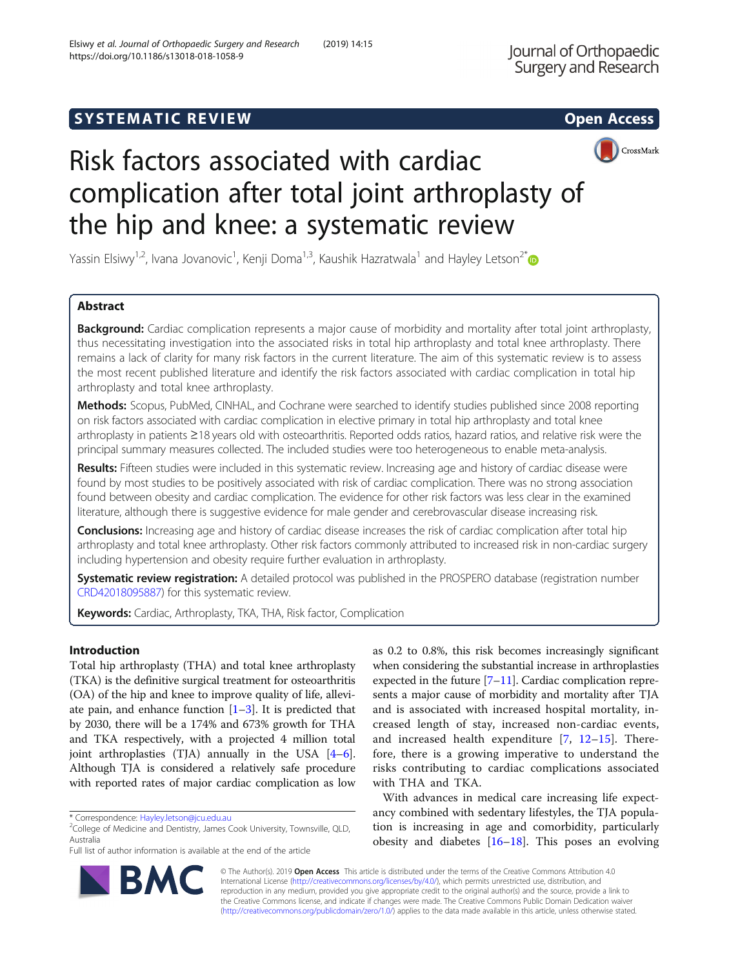https://doi.org/10.1186/s13018-018-1058-9

Elsiwy et al. Journal of Orthopaedic Surgery and Research (2019) 14:15



# Risk factors associated with cardiac complication after total joint arthroplasty of the hip and knee: a systematic review

Yassin Elsiwy<sup>1,2</sup>, Ivana Jovanovic<sup>1</sup>, Kenji Doma<sup>1,3</sup>, Kaushik Hazratwala<sup>1</sup> and Hayley Letson<sup>2[\\*](http://orcid.org/0000-0003-0135-134X)</sup>

# Abstract

Background: Cardiac complication represents a major cause of morbidity and mortality after total joint arthroplasty, thus necessitating investigation into the associated risks in total hip arthroplasty and total knee arthroplasty. There remains a lack of clarity for many risk factors in the current literature. The aim of this systematic review is to assess the most recent published literature and identify the risk factors associated with cardiac complication in total hip arthroplasty and total knee arthroplasty.

Methods: Scopus, PubMed, CINHAL, and Cochrane were searched to identify studies published since 2008 reporting on risk factors associated with cardiac complication in elective primary in total hip arthroplasty and total knee arthroplasty in patients ≥18 years old with osteoarthritis. Reported odds ratios, hazard ratios, and relative risk were the principal summary measures collected. The included studies were too heterogeneous to enable meta-analysis.

Results: Fifteen studies were included in this systematic review. Increasing age and history of cardiac disease were found by most studies to be positively associated with risk of cardiac complication. There was no strong association found between obesity and cardiac complication. The evidence for other risk factors was less clear in the examined literature, although there is suggestive evidence for male gender and cerebrovascular disease increasing risk.

**Conclusions:** Increasing age and history of cardiac disease increases the risk of cardiac complication after total hip arthroplasty and total knee arthroplasty. Other risk factors commonly attributed to increased risk in non-cardiac surgery including hypertension and obesity require further evaluation in arthroplasty.

**Systematic review registration:** A detailed protocol was published in the PROSPERO database (registration number [CRD42018095887\)](https://www.crd.york.ac.uk/prospero/display_record.php?RecordID=95887) for this systematic review.

Keywords: Cardiac, Arthroplasty, TKA, THA, Risk factor, Complication

# Introduction

Total hip arthroplasty (THA) and total knee arthroplasty (TKA) is the definitive surgical treatment for osteoarthritis (OA) of the hip and knee to improve quality of life, alleviate pain, and enhance function  $[1-3]$  $[1-3]$  $[1-3]$ . It is predicted that by 2030, there will be a 174% and 673% growth for THA and TKA respectively, with a projected 4 million total joint arthroplasties (TJA) annually in the USA [[4](#page-9-0)–[6](#page-9-0)]. Although TJA is considered a relatively safe procedure with reported rates of major cardiac complication as low



With advances in medical care increasing life expectancy combined with sedentary lifestyles, the TJA population is increasing in age and comorbidity, particularly obesity and diabetes  $[16–18]$  $[16–18]$  $[16–18]$ . This poses an evolving

© The Author(s). 2019 Open Access This article is distributed under the terms of the Creative Commons Attribution 4.0 International License [\(http://creativecommons.org/licenses/by/4.0/](http://creativecommons.org/licenses/by/4.0/)), which permits unrestricted use, distribution, and reproduction in any medium, provided you give appropriate credit to the original author(s) and the source, provide a link to the Creative Commons license, and indicate if changes were made. The Creative Commons Public Domain Dedication waiver [\(http://creativecommons.org/publicdomain/zero/1.0/](http://creativecommons.org/publicdomain/zero/1.0/)) applies to the data made available in this article, unless otherwise stated.



<sup>\*</sup> Correspondence: [Hayley.letson@jcu.edu.au](mailto:Hayley.letson@jcu.edu.au) <sup>2</sup>

<sup>&</sup>lt;sup>2</sup>College of Medicine and Dentistry, James Cook University, Townsville, QLD, Australia

Full list of author information is available at the end of the article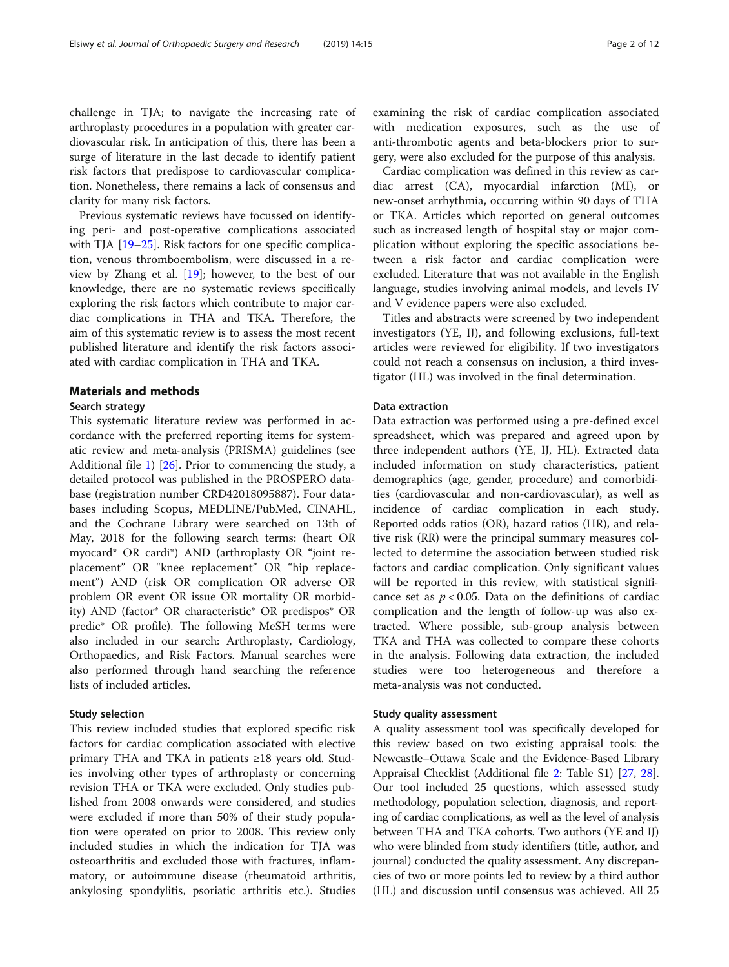challenge in TJA; to navigate the increasing rate of arthroplasty procedures in a population with greater cardiovascular risk. In anticipation of this, there has been a surge of literature in the last decade to identify patient risk factors that predispose to cardiovascular complication. Nonetheless, there remains a lack of consensus and clarity for many risk factors.

Previous systematic reviews have focussed on identifying peri- and post-operative complications associated with TJA [[19](#page-10-0)–[25](#page-10-0)]. Risk factors for one specific complication, venous thromboembolism, were discussed in a review by Zhang et al.  $[19]$  $[19]$ ; however, to the best of our knowledge, there are no systematic reviews specifically exploring the risk factors which contribute to major cardiac complications in THA and TKA. Therefore, the aim of this systematic review is to assess the most recent published literature and identify the risk factors associated with cardiac complication in THA and TKA.

# Materials and methods

### Search strategy

This systematic literature review was performed in accordance with the preferred reporting items for systematic review and meta-analysis (PRISMA) guidelines (see Additional file [1\)](#page-9-0) [\[26\]](#page-10-0). Prior to commencing the study, a detailed protocol was published in the PROSPERO database (registration number CRD42018095887). Four databases including Scopus, MEDLINE/PubMed, CINAHL, and the Cochrane Library were searched on 13th of May, 2018 for the following search terms: (heart OR myocard\* OR cardi\*) AND (arthroplasty OR "joint replacement" OR "knee replacement" OR "hip replacement") AND (risk OR complication OR adverse OR problem OR event OR issue OR mortality OR morbidity) AND (factor\* OR characteristic\* OR predispos\* OR predic\* OR profile). The following MeSH terms were also included in our search: Arthroplasty, Cardiology, Orthopaedics, and Risk Factors. Manual searches were also performed through hand searching the reference lists of included articles.

# Study selection

This review included studies that explored specific risk factors for cardiac complication associated with elective primary THA and TKA in patients ≥18 years old. Studies involving other types of arthroplasty or concerning revision THA or TKA were excluded. Only studies published from 2008 onwards were considered, and studies were excluded if more than 50% of their study population were operated on prior to 2008. This review only included studies in which the indication for TJA was osteoarthritis and excluded those with fractures, inflammatory, or autoimmune disease (rheumatoid arthritis, ankylosing spondylitis, psoriatic arthritis etc.). Studies examining the risk of cardiac complication associated with medication exposures, such as the use of anti-thrombotic agents and beta-blockers prior to surgery, were also excluded for the purpose of this analysis.

Cardiac complication was defined in this review as cardiac arrest (CA), myocardial infarction (MI), or new-onset arrhythmia, occurring within 90 days of THA or TKA. Articles which reported on general outcomes such as increased length of hospital stay or major complication without exploring the specific associations between a risk factor and cardiac complication were excluded. Literature that was not available in the English language, studies involving animal models, and levels IV and V evidence papers were also excluded.

Titles and abstracts were screened by two independent investigators (YE, IJ), and following exclusions, full-text articles were reviewed for eligibility. If two investigators could not reach a consensus on inclusion, a third investigator (HL) was involved in the final determination.

#### Data extraction

Data extraction was performed using a pre-defined excel spreadsheet, which was prepared and agreed upon by three independent authors (YE, IJ, HL). Extracted data included information on study characteristics, patient demographics (age, gender, procedure) and comorbidities (cardiovascular and non-cardiovascular), as well as incidence of cardiac complication in each study. Reported odds ratios (OR), hazard ratios (HR), and relative risk (RR) were the principal summary measures collected to determine the association between studied risk factors and cardiac complication. Only significant values will be reported in this review, with statistical significance set as  $p < 0.05$ . Data on the definitions of cardiac complication and the length of follow-up was also extracted. Where possible, sub-group analysis between TKA and THA was collected to compare these cohorts in the analysis. Following data extraction, the included studies were too heterogeneous and therefore a meta-analysis was not conducted.

#### Study quality assessment

A quality assessment tool was specifically developed for this review based on two existing appraisal tools: the Newcastle–Ottawa Scale and the Evidence-Based Library Appraisal Checklist (Additional file [2](#page-4-0): Table S1) [\[27,](#page-10-0) [28](#page-10-0)]. Our tool included 25 questions, which assessed study methodology, population selection, diagnosis, and reporting of cardiac complications, as well as the level of analysis between THA and TKA cohorts. Two authors (YE and IJ) who were blinded from study identifiers (title, author, and journal) conducted the quality assessment. Any discrepancies of two or more points led to review by a third author (HL) and discussion until consensus was achieved. All 25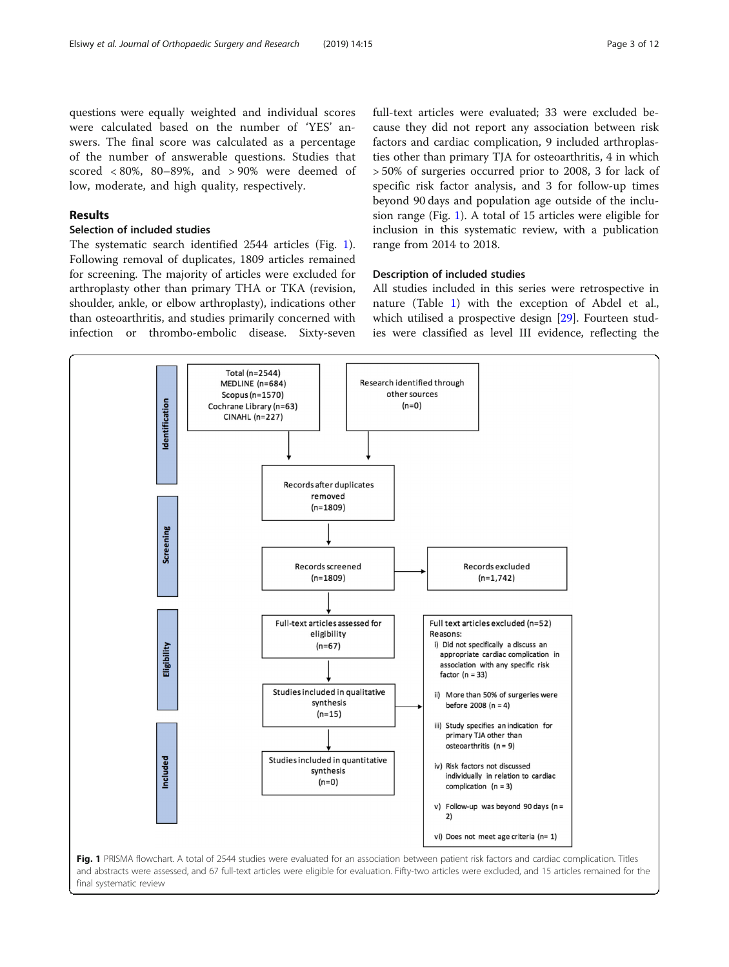questions were equally weighted and individual scores were calculated based on the number of 'YES' answers. The final score was calculated as a percentage of the number of answerable questions. Studies that scored < 80%, 80–89%, and > 90% were deemed of low, moderate, and high quality, respectively.

# Results

# Selection of included studies

The systematic search identified 2544 articles (Fig. 1). Following removal of duplicates, 1809 articles remained for screening. The majority of articles were excluded for arthroplasty other than primary THA or TKA (revision, shoulder, ankle, or elbow arthroplasty), indications other than osteoarthritis, and studies primarily concerned with infection or thrombo-embolic disease. Sixty-seven

full-text articles were evaluated; 33 were excluded because they did not report any association between risk factors and cardiac complication, 9 included arthroplasties other than primary TJA for osteoarthritis, 4 in which > 50% of surgeries occurred prior to 2008, 3 for lack of specific risk factor analysis, and 3 for follow-up times beyond 90 days and population age outside of the inclusion range (Fig. 1). A total of 15 articles were eligible for inclusion in this systematic review, with a publication range from 2014 to 2018.

# Description of included studies

All studies included in this series were retrospective in nature (Table [1](#page-3-0)) with the exception of Abdel et al., which utilised a prospective design [\[29\]](#page-10-0). Fourteen studies were classified as level III evidence, reflecting the

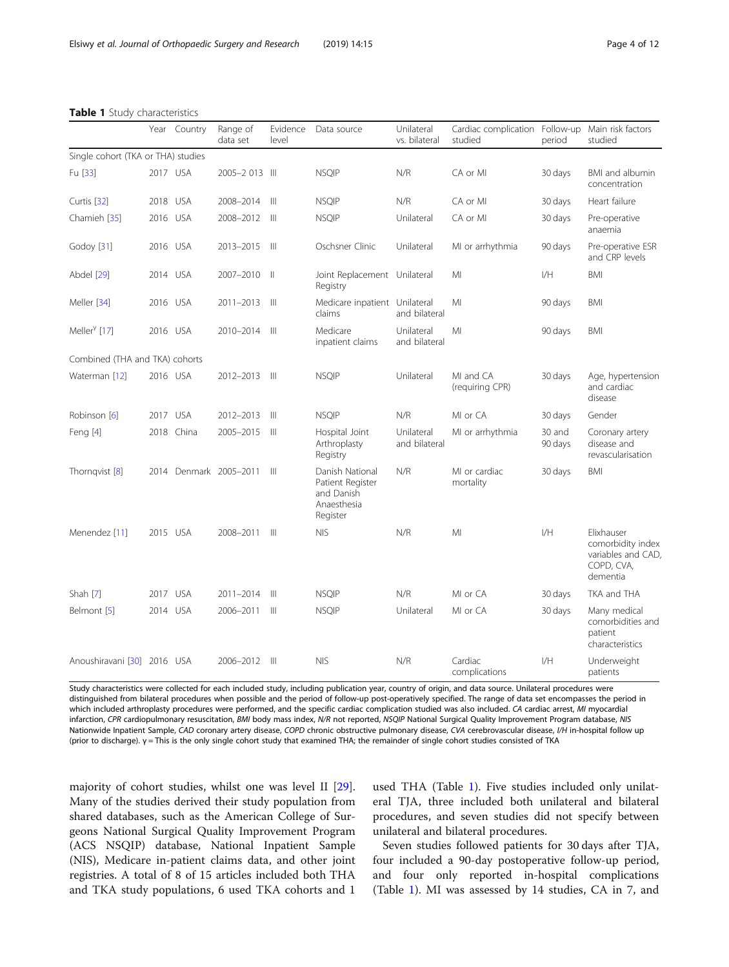|                                    | Year     | Country    | Range of<br>data set   | Evidence<br>level | Data source                                                                  | Unilateral<br>vs. bilateral | Cardiac complication Follow-up<br>studied | period            | Main risk factors<br>studied                                                   |
|------------------------------------|----------|------------|------------------------|-------------------|------------------------------------------------------------------------------|-----------------------------|-------------------------------------------|-------------------|--------------------------------------------------------------------------------|
| Single cohort (TKA or THA) studies |          |            |                        |                   |                                                                              |                             |                                           |                   |                                                                                |
| Fu [33]                            |          | 2017 USA   | 2005-2 013 III         |                   | <b>NSOIP</b>                                                                 | N/R                         | CA or MI                                  | 30 days           | BMI and albumin<br>concentration                                               |
| Curtis <sup>[32]</sup>             |          | 2018 USA   | 2008-2014              | $\mathbb{H}$      | <b>NSQIP</b>                                                                 | N/R                         | CA or MI                                  | 30 days           | Heart failure                                                                  |
| Chamieh [35]                       | 2016 USA |            | 2008-2012              | $\mathbb{H}$      | <b>NSQIP</b>                                                                 | Unilateral                  | CA or MI                                  | 30 days           | Pre-operative<br>anaemia                                                       |
| Godoy [31]                         |          | 2016 USA   | 2013-2015              | $\mathbb{H}$      | Oschsner Clinic                                                              | Unilateral                  | MI or arrhythmia                          | 90 days           | Pre-operative ESR<br>and CRP levels                                            |
| Abdel [29]                         | 2014 USA |            | 2007-2010              | $\parallel$       | Joint Replacement Unilateral<br>Registry                                     |                             | MI                                        | $V$ H             | <b>BMI</b>                                                                     |
| Meller [34]                        |          | 2016 USA   | 2011-2013              | $\mathbb{H}$      | Medicare inpatient Unilateral<br>claims                                      | and bilateral               | MI                                        | 90 days           | <b>BMI</b>                                                                     |
| Meller <sup>Y</sup> [17]           |          | 2016 USA   | 2010-2014              | $\mathbb{H}$      | Medicare<br>inpatient claims                                                 | Unilateral<br>and bilateral | MI                                        | 90 days           | <b>BMI</b>                                                                     |
| Combined (THA and TKA) cohorts     |          |            |                        |                   |                                                                              |                             |                                           |                   |                                                                                |
| Waterman [12]                      |          | 2016 USA   | 2012-2013              | $\mathbb{H}$      | <b>NSQIP</b>                                                                 | Unilateral                  | MI and CA<br>(requiring CPR)              | 30 days           | Age, hypertension<br>and cardiac<br>disease                                    |
| Robinson [6]                       |          | 2017 USA   | 2012-2013              | $\mathbb{H}$      | <b>NSQIP</b>                                                                 | N/R                         | MI or CA                                  | 30 days           | Gender                                                                         |
| Feng [4]                           |          | 2018 China | 2005-2015              | $\  \ $           | Hospital Joint<br>Arthroplasty<br>Registry                                   | Unilateral<br>and bilateral | MI or arrhythmia                          | 30 and<br>90 days | Coronary artery<br>disease and<br>revascularisation                            |
| Thornqvist [8]                     |          |            | 2014 Denmark 2005-2011 | $\mathbb{H}$      | Danish National<br>Patient Register<br>and Danish<br>Anaesthesia<br>Register | N/R                         | MI or cardiac<br>mortality                | 30 days           | <b>BMI</b>                                                                     |
| Menendez [11]                      |          | 2015 USA   | 2008-2011              | - III             | <b>NIS</b>                                                                   | N/R                         | MI                                        | J/H               | Elixhauser<br>comorbidity index<br>variables and CAD<br>COPD, CVA,<br>dementia |
| Shah [7]                           |          | 2017 USA   | 2011-2014              | $\mathbb{H}$      | <b>NSQIP</b>                                                                 | N/R                         | MI or CA                                  | 30 days           | TKA and THA                                                                    |
| Belmont [5]                        |          | 2014 USA   | 2006-2011              | $\mathbb{H}$      | <b>NSOIP</b>                                                                 | Unilateral                  | MI or CA                                  | 30 days           | Many medical<br>comorbidities and<br>patient<br>characteristics                |
| Anoushiravani [30] 2016 USA        |          |            | 2006-2012              | - III             | <b>NIS</b>                                                                   | N/R                         | Cardiac<br>complications                  | I/H               | Underweight<br>patients                                                        |

#### <span id="page-3-0"></span>Table 1 Study characteristics

Study characteristics were collected for each included study, including publication year, country of origin, and data source. Unilateral procedures were distinguished from bilateral procedures when possible and the period of follow-up post-operatively specified. The range of data set encompasses the period in which included arthroplasty procedures were performed, and the specific cardiac complication studied was also included. CA cardiac arrest, MI myocardial infarction, CPR cardiopulmonary resuscitation, BMI body mass index, N/R not reported, NSQIP National Surgical Quality Improvement Program database, NIS Nationwide Inpatient Sample, CAD coronary artery disease, COPD chronic obstructive pulmonary disease, CVA cerebrovascular disease, I/H in-hospital follow up (prior to discharge). γ = This is the only single cohort study that examined THA; the remainder of single cohort studies consisted of TKA

majority of cohort studies, whilst one was level II [\[29](#page-10-0)]. Many of the studies derived their study population from shared databases, such as the American College of Surgeons National Surgical Quality Improvement Program (ACS NSQIP) database, National Inpatient Sample (NIS), Medicare in-patient claims data, and other joint registries. A total of 8 of 15 articles included both THA and TKA study populations, 6 used TKA cohorts and 1

used THA (Table 1). Five studies included only unilateral TJA, three included both unilateral and bilateral procedures, and seven studies did not specify between unilateral and bilateral procedures.

Seven studies followed patients for 30 days after TJA, four included a 90-day postoperative follow-up period, and four only reported in-hospital complications (Table 1). MI was assessed by 14 studies, CA in 7, and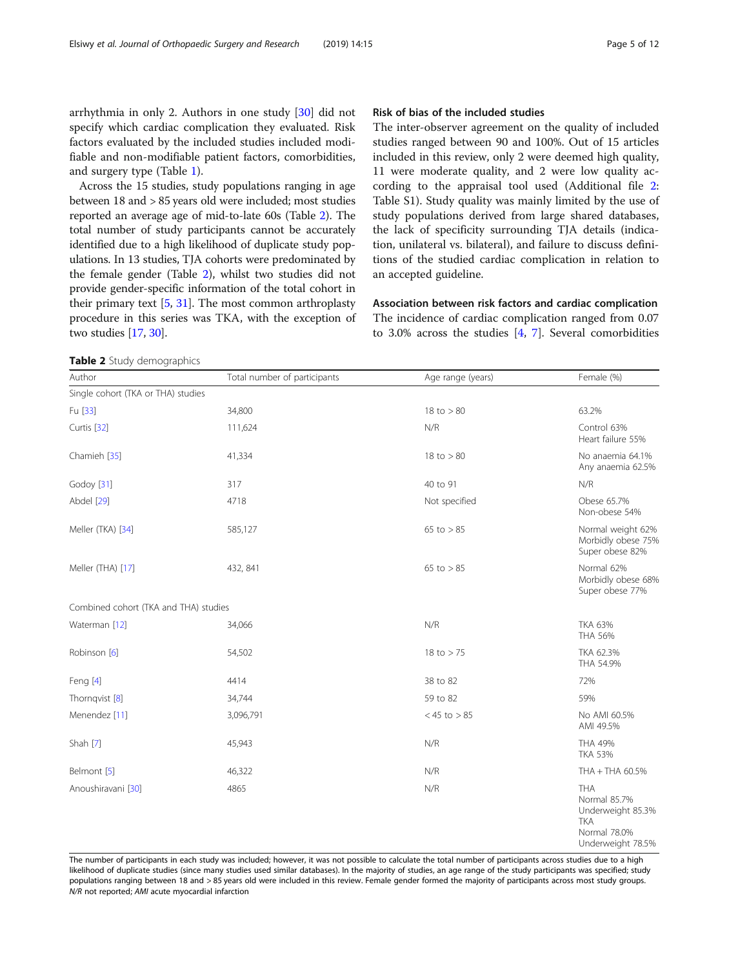<span id="page-4-0"></span>arrhythmia in only 2. Authors in one study [[30\]](#page-10-0) did not specify which cardiac complication they evaluated. Risk factors evaluated by the included studies included modifiable and non-modifiable patient factors, comorbidities, and surgery type (Table [1\)](#page-3-0).

Across the 15 studies, study populations ranging in age between 18 and > 85 years old were included; most studies reported an average age of mid-to-late 60s (Table 2). The total number of study participants cannot be accurately identified due to a high likelihood of duplicate study populations. In 13 studies, TJA cohorts were predominated by the female gender (Table 2), whilst two studies did not provide gender-specific information of the total cohort in their primary text  $[5, 31]$  $[5, 31]$  $[5, 31]$ . The most common arthroplasty procedure in this series was TKA, with the exception of two studies [[17](#page-10-0), [30](#page-10-0)].

Table 2 Study demographics

# Risk of bias of the included studies

The inter-observer agreement on the quality of included studies ranged between 90 and 100%. Out of 15 articles included in this review, only 2 were deemed high quality, 11 were moderate quality, and 2 were low quality according to the appraisal tool used (Additional file [2](#page-9-0): Table S1). Study quality was mainly limited by the use of study populations derived from large shared databases, the lack of specificity surrounding TJA details (indication, unilateral vs. bilateral), and failure to discuss definitions of the studied cardiac complication in relation to an accepted guideline.

Association between risk factors and cardiac complication The incidence of cardiac complication ranged from 0.07 to 3.0% across the studies [\[4](#page-9-0), [7\]](#page-10-0). Several comorbidities

| Author                                | Total number of participants | Age range (years) | Female (%)                                                                                         |
|---------------------------------------|------------------------------|-------------------|----------------------------------------------------------------------------------------------------|
| Single cohort (TKA or THA) studies    |                              |                   |                                                                                                    |
| Fu [33]                               | 34,800                       | 18 to $> 80$      | 63.2%                                                                                              |
| Curtis [32]                           | 111,624                      | N/R               | Control 63%<br>Heart failure 55%                                                                   |
| Chamieh [35]                          | 41,334                       | 18 to $> 80$      | No anaemia 64.1%<br>Any anaemia 62.5%                                                              |
| Godoy [31]                            | 317                          | 40 to 91          | N/R                                                                                                |
| Abdel [29]                            | 4718                         | Not specified     | Obese 65.7%<br>Non-obese 54%                                                                       |
| Meller (TKA) [34]                     | 585,127                      | 65 to $> 85$      | Normal weight 62%<br>Morbidly obese 75%<br>Super obese 82%                                         |
| Meller (THA) [17]                     | 432, 841                     | 65 to $> 85$      | Normal 62%<br>Morbidly obese 68%<br>Super obese 77%                                                |
| Combined cohort (TKA and THA) studies |                              |                   |                                                                                                    |
| Waterman [12]                         | 34,066                       | N/R               | <b>TKA 63%</b><br>THA 56%                                                                          |
| Robinson [6]                          | 54,502                       | 18 to $> 75$      | TKA 62.3%<br>THA 54.9%                                                                             |
| Feng [4]                              | 4414                         | 38 to 82          | 72%                                                                                                |
| Thornqvist [8]                        | 34,744                       | 59 to 82          | 59%                                                                                                |
| Menendez [11]                         | 3,096,791                    | $< 45$ to $> 85$  | No AMI 60.5%<br>AMI 49.5%                                                                          |
| Shah [7]                              | 45,943                       | N/R               | <b>THA 49%</b><br><b>TKA 53%</b>                                                                   |
| Belmont [5]                           | 46,322                       | N/R               | THA + THA 60.5%                                                                                    |
| Anoushiravani [30]                    | 4865                         | N/R               | <b>THA</b><br>Normal 85.7%<br>Underweight 85.3%<br><b>TKA</b><br>Normal 78.0%<br>Underweight 78.5% |

The number of participants in each study was included; however, it was not possible to calculate the total number of participants across studies due to a high likelihood of duplicate studies (since many studies used similar databases). In the majority of studies, an age range of the study participants was specified; study populations ranging between 18 and > 85 years old were included in this review. Female gender formed the majority of participants across most study groups. N/R not reported; AMI acute myocardial infarction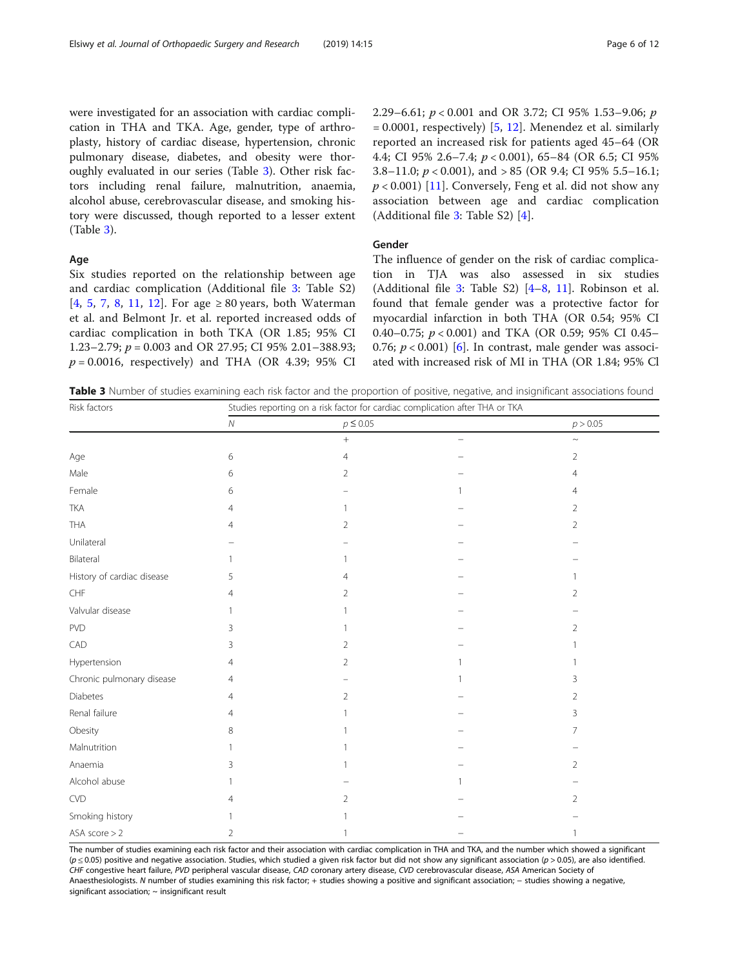were investigated for an association with cardiac complication in THA and TKA. Age, gender, type of arthroplasty, history of cardiac disease, hypertension, chronic pulmonary disease, diabetes, and obesity were thoroughly evaluated in our series (Table 3). Other risk factors including renal failure, malnutrition, anaemia, alcohol abuse, cerebrovascular disease, and smoking history were discussed, though reported to a lesser extent (Table 3).

#### Age

Six studies reported on the relationship between age and cardiac complication (Additional file [3](#page-9-0): Table S2) [[4,](#page-9-0) [5](#page-9-0), [7](#page-10-0), [8,](#page-10-0) [11,](#page-10-0) [12\]](#page-10-0). For age  $\geq 80$  years, both Waterman et al. and Belmont Jr. et al. reported increased odds of cardiac complication in both TKA (OR 1.85; 95% CI 1.23–2.79;  $p = 0.003$  and OR 27.95; CI 95% 2.01–388.93;  $p = 0.0016$ , respectively) and THA (OR 4.39; 95% CI 2.29–6.61; p < 0.001 and OR 3.72; CI 95% 1.53–9.06; p  $= 0.0001$ , respectively) [[5,](#page-9-0) [12](#page-10-0)]. Menendez et al. similarly reported an increased risk for patients aged 45–64 (OR 4.4; CI 95% 2.6–7.4; p < 0.001), 65–84 (OR 6.5; CI 95% 3.8–11.0;  $p < 0.001$ ), and > 85 (OR 9.4; CI 95% 5.5–16.1;  $p < 0.001$  [[11\]](#page-10-0). Conversely, Feng et al. did not show any association between age and cardiac complication (Additional file [3:](#page-9-0) Table S2) [[4\]](#page-9-0).

### Gender

The influence of gender on the risk of cardiac complication in TJA was also assessed in six studies (Additional file [3:](#page-9-0) Table S2) [[4](#page-9-0)–[8,](#page-10-0) [11](#page-10-0)]. Robinson et al. found that female gender was a protective factor for myocardial infarction in both THA (OR 0.54; 95% CI 0.40–0.75;  $p < 0.001$ ) and TKA (OR 0.59; 95% CI 0.45– 0.76;  $p < 0.001$ ) [\[6](#page-9-0)]. In contrast, male gender was associated with increased risk of MI in THA (OR 1.84; 95% Cl

Table 3 Number of studies examining each risk factor and the proportion of positive, negative, and insignificant associations found

| Risk factors               | Studies reporting on a risk factor for cardiac complication after THA or TKA |                |          |                |  |  |  |
|----------------------------|------------------------------------------------------------------------------|----------------|----------|----------------|--|--|--|
|                            | ${\cal N}$                                                                   | $p \leq 0.05$  | p > 0.05 |                |  |  |  |
|                            |                                                                              | $+$            |          | $\sim$         |  |  |  |
| Age                        | 6                                                                            | 4              |          | $\overline{2}$ |  |  |  |
| Male                       | 6                                                                            | $\overline{2}$ |          | 4              |  |  |  |
| Female                     | 6                                                                            |                |          | 4              |  |  |  |
| TKA                        | 4                                                                            |                |          | $\overline{2}$ |  |  |  |
| THA                        | 4                                                                            | $\overline{2}$ |          | $\overline{2}$ |  |  |  |
| Unilateral                 |                                                                              |                |          |                |  |  |  |
| Bilateral                  |                                                                              |                |          |                |  |  |  |
| History of cardiac disease | 5                                                                            | $\overline{4}$ |          |                |  |  |  |
| CHF                        | 4                                                                            | $\overline{2}$ |          | $\overline{2}$ |  |  |  |
| Valvular disease           |                                                                              |                |          |                |  |  |  |
| <b>PVD</b>                 | 3                                                                            |                |          | $\overline{2}$ |  |  |  |
| CAD                        | 3                                                                            | 2              |          |                |  |  |  |
| Hypertension               | 4                                                                            | $\overline{2}$ |          |                |  |  |  |
| Chronic pulmonary disease  | $\overline{4}$                                                               |                |          | 3              |  |  |  |
| Diabetes                   | 4                                                                            | $\overline{2}$ |          | $\overline{2}$ |  |  |  |
| Renal failure              | 4                                                                            |                |          | 3              |  |  |  |
| Obesity                    | 8                                                                            |                |          | 7              |  |  |  |
| Malnutrition               |                                                                              |                |          |                |  |  |  |
| Anaemia                    | 3                                                                            |                |          | 2              |  |  |  |
| Alcohol abuse              |                                                                              |                |          |                |  |  |  |
| CVD                        |                                                                              | 2              |          | 2              |  |  |  |
| Smoking history            |                                                                              |                |          |                |  |  |  |
| ASA score > 2              | 2                                                                            |                |          |                |  |  |  |

The number of studies examining each risk factor and their association with cardiac complication in THA and TKA, and the number which showed a significant (p ≤ 0.05) positive and negative association. Studies, which studied a given risk factor but did not show any significant association (p > 0.05), are also identified. CHF congestive heart failure, PVD peripheral vascular disease, CAD coronary artery disease, CVD cerebrovascular disease, ASA American Society of Anaesthesiologists. N number of studies examining this risk factor; + studies showing a positive and significant association; − studies showing a negative, significant association;  $\sim$  insignificant result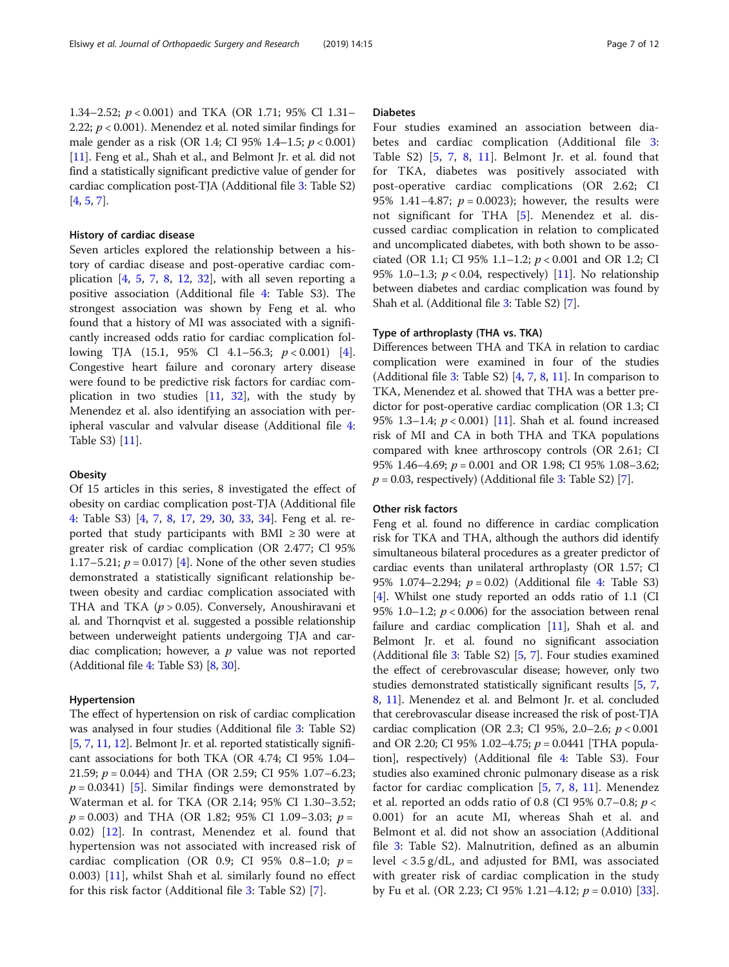1.34–2.52; p < 0.001) and TKA (OR 1.71; 95% Cl 1.31– 2.22;  $p < 0.001$ ). Menendez et al. noted similar findings for male gender as a risk (OR 1.4; CI 95% 1.4–1.5; p < 0.001) [[11](#page-10-0)]. Feng et al., Shah et al., and Belmont Jr. et al. did not find a statistically significant predictive value of gender for cardiac complication post-TJA (Additional file [3:](#page-9-0) Table S2) [[4,](#page-9-0) [5](#page-9-0), [7\]](#page-10-0).

# History of cardiac disease

Seven articles explored the relationship between a history of cardiac disease and post-operative cardiac complication  $[4, 5, 7, 8, 12, 32]$  $[4, 5, 7, 8, 12, 32]$  $[4, 5, 7, 8, 12, 32]$  $[4, 5, 7, 8, 12, 32]$  $[4, 5, 7, 8, 12, 32]$  $[4, 5, 7, 8, 12, 32]$  $[4, 5, 7, 8, 12, 32]$  $[4, 5, 7, 8, 12, 32]$  $[4, 5, 7, 8, 12, 32]$  $[4, 5, 7, 8, 12, 32]$  $[4, 5, 7, 8, 12, 32]$  $[4, 5, 7, 8, 12, 32]$  $[4, 5, 7, 8, 12, 32]$ , with all seven reporting a positive association (Additional file [4](#page-9-0): Table S3). The strongest association was shown by Feng et al. who found that a history of MI was associated with a significantly increased odds ratio for cardiac complication following TJA (15.1, 95% Cl 4.1-56.3;  $p < 0.001$ ) [\[4](#page-9-0)]. Congestive heart failure and coronary artery disease were found to be predictive risk factors for cardiac complication in two studies  $[11, 32]$  $[11, 32]$  $[11, 32]$  $[11, 32]$ , with the study by Menendez et al. also identifying an association with peripheral vascular and valvular disease (Additional file [4](#page-9-0): Table S3) [[11\]](#page-10-0).

### **Obesity**

Of 15 articles in this series, 8 investigated the effect of obesity on cardiac complication post-TJA (Additional file [4:](#page-9-0) Table S3) [\[4](#page-9-0), [7](#page-10-0), [8](#page-10-0), [17](#page-10-0), [29](#page-10-0), [30](#page-10-0), [33](#page-10-0), [34](#page-10-0)]. Feng et al. reported that study participants with BMI ≥ 30 were at greater risk of cardiac complication (OR 2.477; Cl 95% 1.17–5.21;  $p = 0.017$  [\[4](#page-9-0)]. None of the other seven studies demonstrated a statistically significant relationship between obesity and cardiac complication associated with THA and TKA  $(p > 0.05)$ . Conversely, Anoushiravani et al. and Thornqvist et al. suggested a possible relationship between underweight patients undergoing TJA and cardiac complication; however, a  $p$  value was not reported (Additional file [4](#page-9-0): Table S3) [[8](#page-10-0), [30\]](#page-10-0).

# Hypertension

The effect of hypertension on risk of cardiac complication was analysed in four studies (Additional file [3](#page-9-0): Table S2) [[5,](#page-9-0) [7](#page-10-0), [11](#page-10-0), [12\]](#page-10-0). Belmont Jr. et al. reported statistically significant associations for both TKA (OR 4.74; CI 95% 1.04– 21.59; p = 0.044) and THA (OR 2.59; CI 95% 1.07–6.23;  $p = 0.0341$ ) [[5\]](#page-9-0). Similar findings were demonstrated by Waterman et al. for TKA (OR 2.14; 95% CI 1.30–3.52;  $p = 0.003$ ) and THA (OR 1.82; 95% CI 1.09–3.03;  $p =$ 0.02) [\[12](#page-10-0)]. In contrast, Menendez et al. found that hypertension was not associated with increased risk of cardiac complication (OR 0.9; CI 95% 0.8-1.0;  $p =$ 0.003) [\[11](#page-10-0)], whilst Shah et al. similarly found no effect for this risk factor (Additional file [3:](#page-9-0) Table S2) [\[7](#page-10-0)].

# Diabetes

Four studies examined an association between diabetes and cardiac complication (Additional file [3](#page-9-0): Table S2)  $[5, 7, 8, 11]$  $[5, 7, 8, 11]$  $[5, 7, 8, 11]$  $[5, 7, 8, 11]$  $[5, 7, 8, 11]$  $[5, 7, 8, 11]$  $[5, 7, 8, 11]$  $[5, 7, 8, 11]$ . Belmont Jr. et al. found that for TKA, diabetes was positively associated with post-operative cardiac complications (OR 2.62; CI 95% 1.41-4.87;  $p = 0.0023$ ; however, the results were not significant for THA [\[5](#page-9-0)]. Menendez et al. discussed cardiac complication in relation to complicated and uncomplicated diabetes, with both shown to be associated (OR 1.1; CI 95% 1.1-1.2;  $p < 0.001$  and OR 1.2; CI 95% 1.0–1.3;  $p < 0.04$ , respectively) [\[11](#page-10-0)]. No relationship between diabetes and cardiac complication was found by Shah et al. (Additional file [3](#page-9-0): Table S2) [[7](#page-10-0)].

# Type of arthroplasty (THA vs. TKA)

Differences between THA and TKA in relation to cardiac complication were examined in four of the studies (Additional file [3:](#page-9-0) Table S2) [[4](#page-9-0), [7](#page-10-0), [8](#page-10-0), [11\]](#page-10-0). In comparison to TKA, Menendez et al. showed that THA was a better predictor for post-operative cardiac complication (OR 1.3; CI 95% 1.3–1.4;  $p < 0.001$  [\[11\]](#page-10-0). Shah et al. found increased risk of MI and CA in both THA and TKA populations compared with knee arthroscopy controls (OR 2.61; CI 95% 1.46–4.69; p = 0.001 and OR 1.98; CI 95% 1.08–3.62;  $p = 0.03$  $p = 0.03$ , respectively) (Additional file 3: Table S2) [[7\]](#page-10-0).

#### Other risk factors

Feng et al. found no difference in cardiac complication risk for TKA and THA, although the authors did identify simultaneous bilateral procedures as a greater predictor of cardiac events than unilateral arthroplasty (OR 1.57; Cl 95% 1.074–2.294; p = 0.02) (Additional file [4](#page-9-0): Table S3) [[4\]](#page-9-0). Whilst one study reported an odds ratio of 1.1 (CI 95% 1.0–1.2;  $p < 0.006$ ) for the association between renal failure and cardiac complication [[11](#page-10-0)], Shah et al. and Belmont Jr. et al. found no significant association (Additional file [3:](#page-9-0) Table S2) [\[5,](#page-9-0) [7](#page-10-0)]. Four studies examined the effect of cerebrovascular disease; however, only two studies demonstrated statistically significant results [[5,](#page-9-0) [7](#page-10-0), [8,](#page-10-0) [11](#page-10-0)]. Menendez et al. and Belmont Jr. et al. concluded that cerebrovascular disease increased the risk of post-TJA cardiac complication (OR 2.3; CI 95%, 2.0-2.6;  $p < 0.001$ and OR 2.20; CI 95% 1.02–4.75;  $p = 0.0441$  [THA population], respectively) (Additional file [4](#page-9-0): Table S3). Four studies also examined chronic pulmonary disease as a risk factor for cardiac complication [[5,](#page-9-0) [7,](#page-10-0) [8](#page-10-0), [11](#page-10-0)]. Menendez et al. reported an odds ratio of 0.8 (CI 95% 0.7–0.8;  $p <$ 0.001) for an acute MI, whereas Shah et al. and Belmont et al. did not show an association (Additional file [3](#page-9-0): Table S2). Malnutrition, defined as an albumin level < 3.5 g/dL, and adjusted for BMI, was associated with greater risk of cardiac complication in the study by Fu et al. (OR 2.23; CI 95% 1.21–4.12;  $p = 0.010$ ) [\[33](#page-10-0)].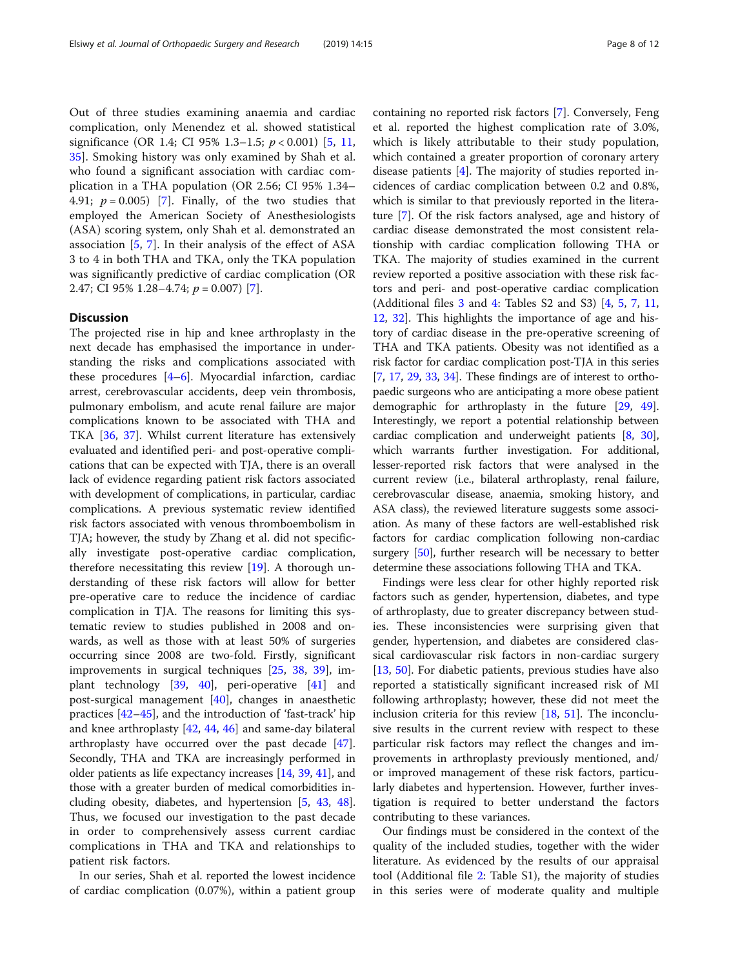Out of three studies examining anaemia and cardiac complication, only Menendez et al. showed statistical significance (OR 1.4; CI 95% 1.3–1.5;  $p < 0.001$ ) [\[5](#page-9-0), [11](#page-10-0), [35\]](#page-10-0). Smoking history was only examined by Shah et al. who found a significant association with cardiac complication in a THA population (OR 2.56; CI 95% 1.34– 4.91;  $p = 0.005$  [[7\]](#page-10-0). Finally, of the two studies that employed the American Society of Anesthesiologists (ASA) scoring system, only Shah et al. demonstrated an association [\[5](#page-9-0), [7](#page-10-0)]. In their analysis of the effect of ASA 3 to 4 in both THA and TKA, only the TKA population was significantly predictive of cardiac complication (OR 2.47; CI 95% 1.28–4.74;  $p = 0.007$  [\[7](#page-10-0)].

# **Discussion**

The projected rise in hip and knee arthroplasty in the next decade has emphasised the importance in understanding the risks and complications associated with these procedures  $[4-6]$  $[4-6]$  $[4-6]$  $[4-6]$ . Myocardial infarction, cardiac arrest, cerebrovascular accidents, deep vein thrombosis, pulmonary embolism, and acute renal failure are major complications known to be associated with THA and TKA [\[36](#page-10-0), [37\]](#page-10-0). Whilst current literature has extensively evaluated and identified peri- and post-operative complications that can be expected with TJA, there is an overall lack of evidence regarding patient risk factors associated with development of complications, in particular, cardiac complications. A previous systematic review identified risk factors associated with venous thromboembolism in TJA; however, the study by Zhang et al. did not specifically investigate post-operative cardiac complication, therefore necessitating this review [\[19](#page-10-0)]. A thorough understanding of these risk factors will allow for better pre-operative care to reduce the incidence of cardiac complication in TJA. The reasons for limiting this systematic review to studies published in 2008 and onwards, as well as those with at least 50% of surgeries occurring since 2008 are two-fold. Firstly, significant improvements in surgical techniques [\[25,](#page-10-0) [38,](#page-10-0) [39\]](#page-10-0), implant technology [[39,](#page-10-0) [40](#page-10-0)], peri-operative [\[41\]](#page-10-0) and post-surgical management [[40](#page-10-0)], changes in anaesthetic practices [[42](#page-10-0)–[45](#page-10-0)], and the introduction of 'fast-track' hip and knee arthroplasty [\[42,](#page-10-0) [44,](#page-10-0) [46](#page-10-0)] and same-day bilateral arthroplasty have occurred over the past decade [\[47](#page-10-0)]. Secondly, THA and TKA are increasingly performed in older patients as life expectancy increases [\[14,](#page-10-0) [39](#page-10-0), [41\]](#page-10-0), and those with a greater burden of medical comorbidities including obesity, diabetes, and hypertension [[5](#page-9-0), [43](#page-10-0), [48](#page-10-0)]. Thus, we focused our investigation to the past decade in order to comprehensively assess current cardiac complications in THA and TKA and relationships to patient risk factors.

In our series, Shah et al. reported the lowest incidence of cardiac complication (0.07%), within a patient group containing no reported risk factors [\[7](#page-10-0)]. Conversely, Feng et al. reported the highest complication rate of 3.0%, which is likely attributable to their study population, which contained a greater proportion of coronary artery disease patients [\[4](#page-9-0)]. The majority of studies reported incidences of cardiac complication between 0.2 and 0.8%, which is similar to that previously reported in the literature [\[7](#page-10-0)]. Of the risk factors analysed, age and history of cardiac disease demonstrated the most consistent relationship with cardiac complication following THA or TKA. The majority of studies examined in the current review reported a positive association with these risk factors and peri- and post-operative cardiac complication (Additional files [3](#page-9-0) and [4:](#page-9-0) Tables S2 and S3) [\[4](#page-9-0), [5](#page-9-0), [7,](#page-10-0) [11](#page-10-0), [12,](#page-10-0) [32\]](#page-10-0). This highlights the importance of age and history of cardiac disease in the pre-operative screening of THA and TKA patients. Obesity was not identified as a risk factor for cardiac complication post-TJA in this series [[7,](#page-10-0) [17,](#page-10-0) [29](#page-10-0), [33](#page-10-0), [34](#page-10-0)]. These findings are of interest to orthopaedic surgeons who are anticipating a more obese patient demographic for arthroplasty in the future [\[29,](#page-10-0) [49](#page-10-0)]. Interestingly, we report a potential relationship between cardiac complication and underweight patients [\[8](#page-10-0), [30](#page-10-0)], which warrants further investigation. For additional, lesser-reported risk factors that were analysed in the current review (i.e., bilateral arthroplasty, renal failure, cerebrovascular disease, anaemia, smoking history, and ASA class), the reviewed literature suggests some association. As many of these factors are well-established risk factors for cardiac complication following non-cardiac surgery [\[50\]](#page-11-0), further research will be necessary to better determine these associations following THA and TKA.

Findings were less clear for other highly reported risk factors such as gender, hypertension, diabetes, and type of arthroplasty, due to greater discrepancy between studies. These inconsistencies were surprising given that gender, hypertension, and diabetes are considered classical cardiovascular risk factors in non-cardiac surgery [[13,](#page-10-0) [50\]](#page-11-0). For diabetic patients, previous studies have also reported a statistically significant increased risk of MI following arthroplasty; however, these did not meet the inclusion criteria for this review [\[18](#page-10-0), [51\]](#page-11-0). The inconclusive results in the current review with respect to these particular risk factors may reflect the changes and improvements in arthroplasty previously mentioned, and/ or improved management of these risk factors, particularly diabetes and hypertension. However, further investigation is required to better understand the factors contributing to these variances.

Our findings must be considered in the context of the quality of the included studies, together with the wider literature. As evidenced by the results of our appraisal tool (Additional file [2:](#page-9-0) Table S1), the majority of studies in this series were of moderate quality and multiple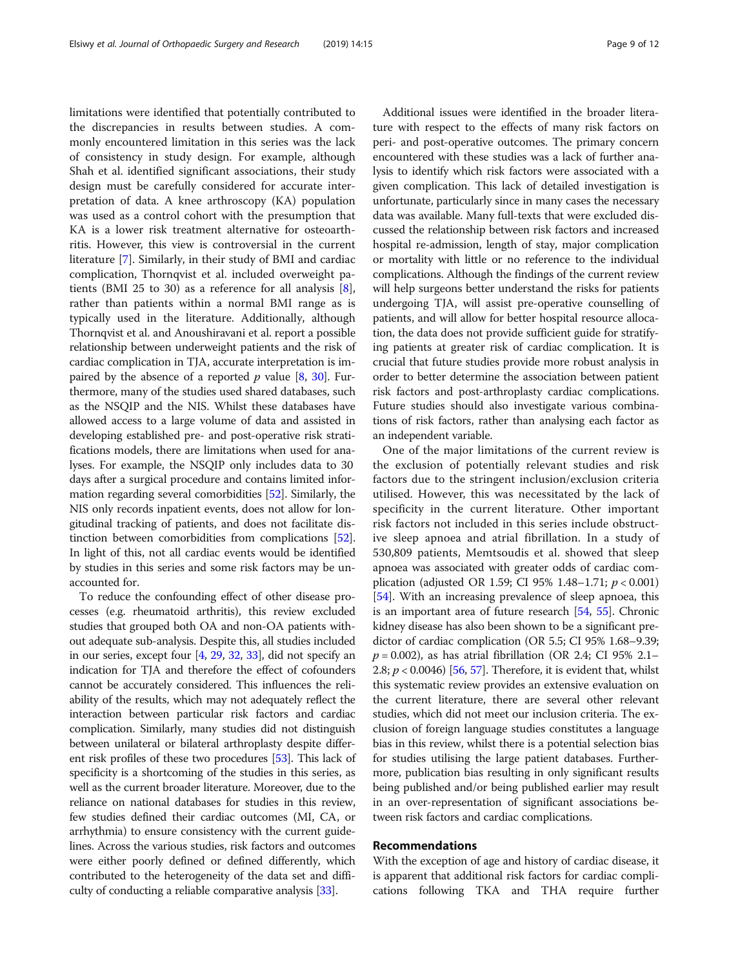limitations were identified that potentially contributed to the discrepancies in results between studies. A commonly encountered limitation in this series was the lack of consistency in study design. For example, although Shah et al. identified significant associations, their study design must be carefully considered for accurate interpretation of data. A knee arthroscopy (KA) population was used as a control cohort with the presumption that KA is a lower risk treatment alternative for osteoarthritis. However, this view is controversial in the current literature [\[7\]](#page-10-0). Similarly, in their study of BMI and cardiac complication, Thornqvist et al. included overweight patients (BMI 25 to 30) as a reference for all analysis  $[8]$  $[8]$ , rather than patients within a normal BMI range as is typically used in the literature. Additionally, although Thornqvist et al. and Anoushiravani et al. report a possible relationship between underweight patients and the risk of cardiac complication in TJA, accurate interpretation is impaired by the absence of a reported  $p$  value [\[8,](#page-10-0) [30](#page-10-0)]. Furthermore, many of the studies used shared databases, such as the NSQIP and the NIS. Whilst these databases have allowed access to a large volume of data and assisted in developing established pre- and post-operative risk stratifications models, there are limitations when used for analyses. For example, the NSQIP only includes data to 30 days after a surgical procedure and contains limited information regarding several comorbidities [[52\]](#page-11-0). Similarly, the NIS only records inpatient events, does not allow for longitudinal tracking of patients, and does not facilitate distinction between comorbidities from complications [[52](#page-11-0)]. In light of this, not all cardiac events would be identified by studies in this series and some risk factors may be unaccounted for.

To reduce the confounding effect of other disease processes (e.g. rheumatoid arthritis), this review excluded studies that grouped both OA and non-OA patients without adequate sub-analysis. Despite this, all studies included in our series, except four [\[4](#page-9-0), [29,](#page-10-0) [32](#page-10-0), [33\]](#page-10-0), did not specify an indication for TJA and therefore the effect of cofounders cannot be accurately considered. This influences the reliability of the results, which may not adequately reflect the interaction between particular risk factors and cardiac complication. Similarly, many studies did not distinguish between unilateral or bilateral arthroplasty despite different risk profiles of these two procedures [\[53\]](#page-11-0). This lack of specificity is a shortcoming of the studies in this series, as well as the current broader literature. Moreover, due to the reliance on national databases for studies in this review, few studies defined their cardiac outcomes (MI, CA, or arrhythmia) to ensure consistency with the current guidelines. Across the various studies, risk factors and outcomes were either poorly defined or defined differently, which contributed to the heterogeneity of the data set and difficulty of conducting a reliable comparative analysis [\[33\]](#page-10-0).

Additional issues were identified in the broader literature with respect to the effects of many risk factors on peri- and post-operative outcomes. The primary concern encountered with these studies was a lack of further analysis to identify which risk factors were associated with a given complication. This lack of detailed investigation is unfortunate, particularly since in many cases the necessary data was available. Many full-texts that were excluded discussed the relationship between risk factors and increased hospital re-admission, length of stay, major complication or mortality with little or no reference to the individual complications. Although the findings of the current review will help surgeons better understand the risks for patients undergoing TJA, will assist pre-operative counselling of patients, and will allow for better hospital resource allocation, the data does not provide sufficient guide for stratifying patients at greater risk of cardiac complication. It is crucial that future studies provide more robust analysis in order to better determine the association between patient risk factors and post-arthroplasty cardiac complications. Future studies should also investigate various combinations of risk factors, rather than analysing each factor as an independent variable.

One of the major limitations of the current review is the exclusion of potentially relevant studies and risk factors due to the stringent inclusion/exclusion criteria utilised. However, this was necessitated by the lack of specificity in the current literature. Other important risk factors not included in this series include obstructive sleep apnoea and atrial fibrillation. In a study of 530,809 patients, Memtsoudis et al. showed that sleep apnoea was associated with greater odds of cardiac complication (adjusted OR 1.59; CI 95% 1.48–1.71;  $p < 0.001$ ) [[54](#page-11-0)]. With an increasing prevalence of sleep apnoea, this is an important area of future research [\[54,](#page-11-0) [55](#page-11-0)]. Chronic kidney disease has also been shown to be a significant predictor of cardiac complication (OR 5.5; CI 95% 1.68–9.39;  $p = 0.002$ ), as has atrial fibrillation (OR 2.4; CI 95% 2.1– 2.8;  $p < 0.0046$  [\[56,](#page-11-0) [57\]](#page-11-0). Therefore, it is evident that, whilst this systematic review provides an extensive evaluation on the current literature, there are several other relevant studies, which did not meet our inclusion criteria. The exclusion of foreign language studies constitutes a language bias in this review, whilst there is a potential selection bias for studies utilising the large patient databases. Furthermore, publication bias resulting in only significant results being published and/or being published earlier may result in an over-representation of significant associations between risk factors and cardiac complications.

# Recommendations

With the exception of age and history of cardiac disease, it is apparent that additional risk factors for cardiac complications following TKA and THA require further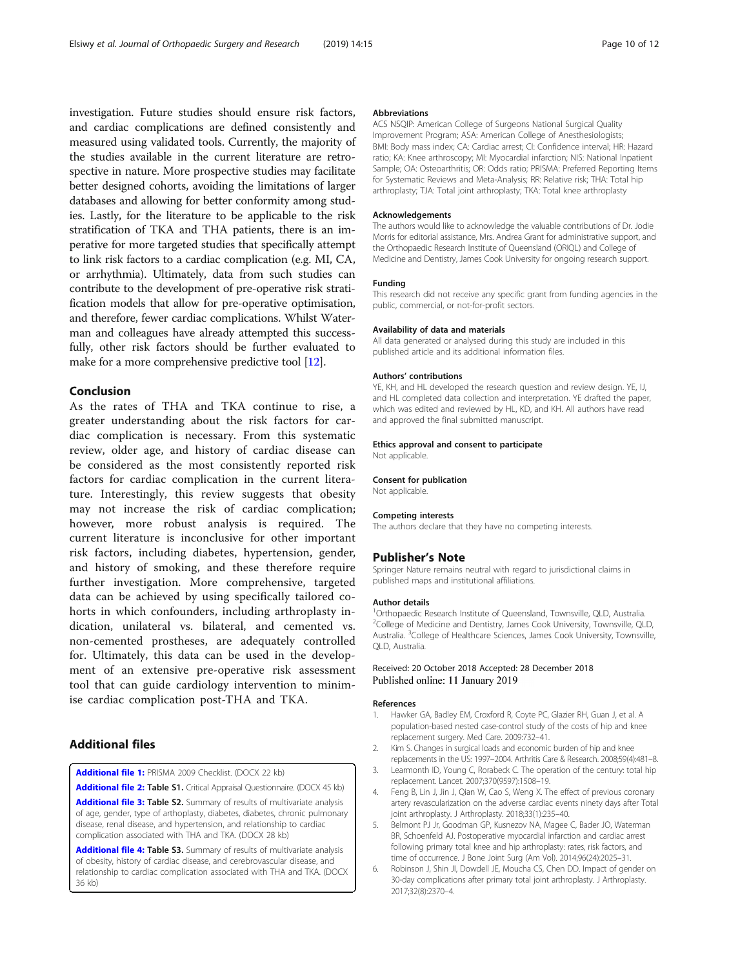<span id="page-9-0"></span>investigation. Future studies should ensure risk factors, and cardiac complications are defined consistently and measured using validated tools. Currently, the majority of the studies available in the current literature are retrospective in nature. More prospective studies may facilitate better designed cohorts, avoiding the limitations of larger databases and allowing for better conformity among studies. Lastly, for the literature to be applicable to the risk stratification of TKA and THA patients, there is an imperative for more targeted studies that specifically attempt to link risk factors to a cardiac complication (e.g. MI, CA, or arrhythmia). Ultimately, data from such studies can contribute to the development of pre-operative risk stratification models that allow for pre-operative optimisation, and therefore, fewer cardiac complications. Whilst Waterman and colleagues have already attempted this successfully, other risk factors should be further evaluated to make for a more comprehensive predictive tool [[12](#page-10-0)].

# Conclusion

As the rates of THA and TKA continue to rise, a greater understanding about the risk factors for cardiac complication is necessary. From this systematic review, older age, and history of cardiac disease can be considered as the most consistently reported risk factors for cardiac complication in the current literature. Interestingly, this review suggests that obesity may not increase the risk of cardiac complication; however, more robust analysis is required. The current literature is inconclusive for other important risk factors, including diabetes, hypertension, gender, and history of smoking, and these therefore require further investigation. More comprehensive, targeted data can be achieved by using specifically tailored cohorts in which confounders, including arthroplasty indication, unilateral vs. bilateral, and cemented vs. non-cemented prostheses, are adequately controlled for. Ultimately, this data can be used in the development of an extensive pre-operative risk assessment tool that can guide cardiology intervention to minimise cardiac complication post-THA and TKA.

# Additional files

[Additional file 1:](https://doi.org/10.1186/s13018-018-1058-9) PRISMA 2009 Checklist. (DOCX 22 kb)

[Additional file 2:](https://doi.org/10.1186/s13018-018-1058-9) Table S1. Critical Appraisal Questionnaire. (DOCX 45 kb)

[Additional file 3:](https://doi.org/10.1186/s13018-018-1058-9) Table S2. Summary of results of multivariate analysis of age, gender, type of arthoplasty, diabetes, diabetes, chronic pulmonary disease, renal disease, and hypertension, and relationship to cardiac complication associated with THA and TKA. (DOCX 28 kb)

[Additional file 4:](https://doi.org/10.1186/s13018-018-1058-9) Table S3. Summary of results of multivariate analysis of obesity, history of cardiac disease, and cerebrovascular disease, and relationship to cardiac complication associated with THA and TKA. (DOCX 36 kb)

#### Abbreviations

ACS NSQIP: American College of Surgeons National Surgical Quality Improvement Program; ASA: American College of Anesthesiologists; BMI: Body mass index; CA: Cardiac arrest; CI: Confidence interval; HR: Hazard ratio; KA: Knee arthroscopy; MI: Myocardial infarction; NIS: National Inpatient Sample; OA: Osteoarthritis; OR: Odds ratio; PRISMA: Preferred Reporting Items for Systematic Reviews and Meta-Analysis; RR: Relative risk; THA: Total hip arthroplasty; TJA: Total joint arthroplasty; TKA: Total knee arthroplasty

#### Acknowledgements

The authors would like to acknowledge the valuable contributions of Dr. Jodie Morris for editorial assistance, Mrs. Andrea Grant for administrative support, and the Orthopaedic Research Institute of Queensland (ORIQL) and College of Medicine and Dentistry, James Cook University for ongoing research support.

#### Funding

This research did not receive any specific grant from funding agencies in the public, commercial, or not-for-profit sectors.

#### Availability of data and materials

All data generated or analysed during this study are included in this published article and its additional information files.

#### Authors' contributions

YE, KH, and HL developed the research question and review design. YE, IJ, and HL completed data collection and interpretation. YE drafted the paper, which was edited and reviewed by HL, KD, and KH. All authors have read and approved the final submitted manuscript.

### Ethics approval and consent to participate

Not applicable.

# Consent for publication

Not applicable.

#### Competing interests

The authors declare that they have no competing interests.

#### Publisher's Note

Springer Nature remains neutral with regard to jurisdictional claims in published maps and institutional affiliations.

#### Author details

<sup>1</sup>Orthopaedic Research Institute of Queensland, Townsville, QLD, Australia <sup>2</sup>College of Medicine and Dentistry, James Cook University, Townsville, QLD, Australia. <sup>3</sup> College of Healthcare Sciences, James Cook University, Townsville, QLD, Australia.

#### Received: 20 October 2018 Accepted: 28 December 2018 Published online: 11 January 2019

#### References

- Hawker GA, Badley EM, Croxford R, Coyte PC, Glazier RH, Guan J, et al. A population-based nested case-control study of the costs of hip and knee replacement surgery. Med Care. 2009:732–41.
- 2. Kim S. Changes in surgical loads and economic burden of hip and knee replacements in the US: 1997–2004. Arthritis Care & Research. 2008;59(4):481–8.
- 3. Learmonth ID, Young C, Rorabeck C. The operation of the century: total hip replacement. Lancet. 2007;370(9597):1508–19.
- Feng B, Lin J, Jin J, Qian W, Cao S, Weng X. The effect of previous coronary artery revascularization on the adverse cardiac events ninety days after Total joint arthroplasty. J Arthroplasty. 2018;33(1):235–40.
- 5. Belmont PJ Jr, Goodman GP, Kusnezov NA, Magee C, Bader JO, Waterman BR, Schoenfeld AJ. Postoperative myocardial infarction and cardiac arrest following primary total knee and hip arthroplasty: rates, risk factors, and time of occurrence. J Bone Joint Surg (Am Vol). 2014;96(24):2025–31.
- 6. Robinson J, Shin JI, Dowdell JE, Moucha CS, Chen DD. Impact of gender on 30-day complications after primary total joint arthroplasty. J Arthroplasty. 2017;32(8):2370–4.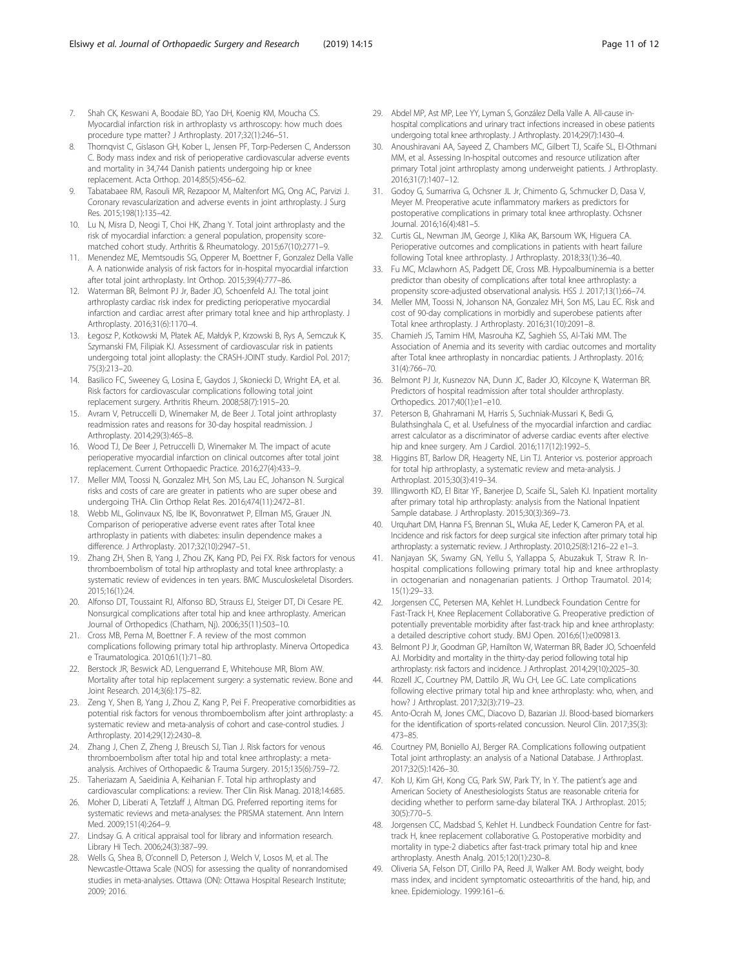- <span id="page-10-0"></span>7. Shah CK, Keswani A, Boodaie BD, Yao DH, Koenig KM, Moucha CS. Myocardial infarction risk in arthroplasty vs arthroscopy: how much does procedure type matter? J Arthroplasty. 2017;32(1):246–51.
- Thornqvist C, Gislason GH, Kober L, Jensen PF, Torp-Pedersen C, Andersson C. Body mass index and risk of perioperative cardiovascular adverse events and mortality in 34,744 Danish patients undergoing hip or knee replacement. Acta Orthop. 2014;85(5):456–62.
- Tabatabaee RM, Rasouli MR, Rezapoor M, Maltenfort MG, Ong AC, Parvizi J. Coronary revascularization and adverse events in joint arthroplasty. J Surg Res. 2015;198(1):135–42.
- 10. Lu N, Misra D, Neogi T, Choi HK, Zhang Y. Total joint arthroplasty and the risk of myocardial infarction: a general population, propensity scorematched cohort study. Arthritis & Rheumatology. 2015;67(10):2771–9.
- 11. Menendez ME, Memtsoudis SG, Opperer M, Boettner F, Gonzalez Della Valle A. A nationwide analysis of risk factors for in-hospital myocardial infarction after total joint arthroplasty. Int Orthop. 2015;39(4):777–86.
- 12. Waterman BR, Belmont PJ Jr, Bader JO, Schoenfeld AJ. The total joint arthroplasty cardiac risk index for predicting perioperative myocardial infarction and cardiac arrest after primary total knee and hip arthroplasty. J Arthroplasty. 2016;31(6):1170–4.
- 13. Łegosz P, Kotkowski M, Płatek AE, Małdyk P, Krzowski B, Rys A, Semczuk K, Szymanski FM, Filipiak KJ. Assessment of cardiovascular risk in patients undergoing total joint alloplasty: the CRASH-JOINT study. Kardiol Pol. 2017; 75(3):213–20.
- 14. Basilico FC, Sweeney G, Losina E, Gaydos J, Skoniecki D, Wright EA, et al. Risk factors for cardiovascular complications following total joint replacement surgery. Arthritis Rheum. 2008;58(7):1915–20.
- 15. Avram V, Petruccelli D, Winemaker M, de Beer J. Total joint arthroplasty readmission rates and reasons for 30-day hospital readmission. J Arthroplasty. 2014;29(3):465–8.
- 16. Wood TJ, De Beer J, Petruccelli D, Winemaker M. The impact of acute perioperative myocardial infarction on clinical outcomes after total joint replacement. Current Orthopaedic Practice. 2016;27(4):433–9.
- 17. Meller MM, Toossi N, Gonzalez MH, Son MS, Lau EC, Johanson N. Surgical risks and costs of care are greater in patients who are super obese and undergoing THA. Clin Orthop Relat Res. 2016;474(11):2472–81.
- 18. Webb ML, Golinvaux NS, Ibe IK, Bovonratwet P, Ellman MS, Grauer JN. Comparison of perioperative adverse event rates after Total knee arthroplasty in patients with diabetes: insulin dependence makes a difference. J Arthroplasty. 2017;32(10):2947–51.
- 19. Zhang ZH, Shen B, Yang J, Zhou ZK, Kang PD, Pei FX. Risk factors for venous thromboembolism of total hip arthroplasty and total knee arthroplasty: a systematic review of evidences in ten years. BMC Musculoskeletal Disorders. 2015;16(1):24.
- 20. Alfonso DT, Toussaint RJ, Alfonso BD, Strauss EJ, Steiger DT, Di Cesare PE. Nonsurgical complications after total hip and knee arthroplasty. American Journal of Orthopedics (Chatham, Nj). 2006;35(11):503–10.
- 21. Cross MB, Perna M, Boettner F. A review of the most common complications following primary total hip arthroplasty. Minerva Ortopedica e Traumatologica. 2010;61(1):71–80.
- 22. Berstock JR, Beswick AD, Lenguerrand E, Whitehouse MR, Blom AW. Mortality after total hip replacement surgery: a systematic review. Bone and Joint Research. 2014;3(6):175–82.
- 23. Zeng Y, Shen B, Yang J, Zhou Z, Kang P, Pei F. Preoperative comorbidities as potential risk factors for venous thromboembolism after joint arthroplasty: a systematic review and meta-analysis of cohort and case-control studies. J Arthroplasty. 2014;29(12):2430–8.
- 24. Zhang J, Chen Z, Zheng J, Breusch SJ, Tian J. Risk factors for venous thromboembolism after total hip and total knee arthroplasty: a metaanalysis. Archives of Orthopaedic & Trauma Surgery. 2015;135(6):759–72.
- Taheriazam A, Saeidinia A, Keihanian F. Total hip arthroplasty and cardiovascular complications: a review. Ther Clin Risk Manag. 2018;14:685.
- 26. Moher D, Liberati A, Tetzlaff J, Altman DG. Preferred reporting items for systematic reviews and meta-analyses: the PRISMA statement. Ann Intern Med. 2009;151(4):264–9.
- 27. Lindsay G. A critical appraisal tool for library and information research. Library Hi Tech. 2006;24(3):387–99.
- 28. Wells G, Shea B, O'connell D, Peterson J, Welch V, Losos M, et al. The Newcastle-Ottawa Scale (NOS) for assessing the quality of nonrandomised studies in meta-analyses. Ottawa (ON): Ottawa Hospital Research Institute; 2009; 2016.
- 29. Abdel MP, Ast MP, Lee YY, Lyman S, González Della Valle A. All-cause inhospital complications and urinary tract infections increased in obese patients undergoing total knee arthroplasty. J Arthroplasty. 2014;29(7):1430–4.
- 30. Anoushiravani AA, Sayeed Z, Chambers MC, Gilbert TJ, Scaife SL, El-Othmani MM, et al. Assessing In-hospital outcomes and resource utilization after primary Total joint arthroplasty among underweight patients. J Arthroplasty. 2016;31(7):1407–12.
- 31. Godoy G, Sumarriva G, Ochsner JL Jr, Chimento G, Schmucker D, Dasa V, Meyer M. Preoperative acute inflammatory markers as predictors for postoperative complications in primary total knee arthroplasty. Ochsner Journal. 2016;16(4):481–5.
- 32. Curtis GL, Newman JM, George J, Klika AK, Barsoum WK, Higuera CA. Perioperative outcomes and complications in patients with heart failure following Total knee arthroplasty. J Arthroplasty. 2018;33(1):36–40.
- 33. Fu MC, Mclawhorn AS, Padgett DE, Cross MB. Hypoalbuminemia is a better predictor than obesity of complications after total knee arthroplasty: a propensity score-adjusted observational analysis. HSS J. 2017;13(1):66–74.
- 34. Meller MM, Toossi N, Johanson NA, Gonzalez MH, Son MS, Lau EC. Risk and cost of 90-day complications in morbidly and superobese patients after Total knee arthroplasty. J Arthroplasty. 2016;31(10):2091–8.
- 35. Chamieh JS, Tamim HM, Masrouha KZ, Saghieh SS, Al-Taki MM. The Association of Anemia and its severity with cardiac outcomes and mortality after Total knee arthroplasty in noncardiac patients. J Arthroplasty. 2016; 31(4):766–70.
- Belmont PJ Jr, Kusnezov NA, Dunn JC, Bader JO, Kilcoyne K, Waterman BR. Predictors of hospital readmission after total shoulder arthroplasty. Orthopedics. 2017;40(1):e1–e10.
- 37. Peterson B, Ghahramani M, Harris S, Suchniak-Mussari K, Bedi G, Bulathsinghala C, et al. Usefulness of the myocardial infarction and cardiac arrest calculator as a discriminator of adverse cardiac events after elective hip and knee surgery. Am J Cardiol. 2016;117(12):1992–5.
- 38. Higgins BT, Barlow DR, Heagerty NE, Lin TJ. Anterior vs. posterior approach for total hip arthroplasty, a systematic review and meta-analysis. J Arthroplast. 2015;30(3):419–34.
- 39. Illingworth KD, El Bitar YF, Banerjee D, Scaife SL, Saleh KJ. Inpatient mortality after primary total hip arthroplasty: analysis from the National Inpatient Sample database. J Arthroplasty. 2015;30(3):369–73.
- 40. Urquhart DM, Hanna FS, Brennan SL, Wluka AE, Leder K, Cameron PA, et al. Incidence and risk factors for deep surgical site infection after primary total hip arthroplasty: a systematic review. J Arthroplasty. 2010;25(8):1216–22 e1–3.
- 41. Nanjayan SK, Swamy GN, Yellu S, Yallappa S, Abuzakuk T, Straw R. Inhospital complications following primary total hip and knee arthroplasty in octogenarian and nonagenarian patients. J Orthop Traumatol. 2014; 15(1):29–33.
- 42. Jorgensen CC, Petersen MA, Kehlet H. Lundbeck Foundation Centre for Fast-Track H, Knee Replacement Collaborative G. Preoperative prediction of potentially preventable morbidity after fast-track hip and knee arthroplasty: a detailed descriptive cohort study. BMJ Open. 2016;6(1):e009813.
- 43. Belmont PJ Jr, Goodman GP, Hamilton W, Waterman BR, Bader JO, Schoenfeld AJ. Morbidity and mortality in the thirty-day period following total hip arthroplasty: risk factors and incidence. J Arthroplast. 2014;29(10):2025–30.
- 44. Rozell JC, Courtney PM, Dattilo JR, Wu CH, Lee GC. Late complications following elective primary total hip and knee arthroplasty: who, when, and how? J Arthroplast. 2017;32(3):719–23.
- 45. Anto-Ocrah M, Jones CMC, Diacovo D, Bazarian JJ. Blood-based biomarkers for the identification of sports-related concussion. Neurol Clin. 2017;35(3): 473–85.
- 46. Courtney PM, Boniello AJ, Berger RA. Complications following outpatient Total joint arthroplasty: an analysis of a National Database. J Arthroplast. 2017;32(5):1426–30.
- 47. Koh IJ, Kim GH, Kong CG, Park SW, Park TY, In Y. The patient's age and American Society of Anesthesiologists Status are reasonable criteria for deciding whether to perform same-day bilateral TKA. J Arthroplast. 2015; 30(5):770–5.
- 48. Jorgensen CC, Madsbad S, Kehlet H. Lundbeck Foundation Centre for fasttrack H, knee replacement collaborative G. Postoperative morbidity and mortality in type-2 diabetics after fast-track primary total hip and knee arthroplasty. Anesth Analg. 2015;120(1):230–8.
- 49. Oliveria SA, Felson DT, Cirillo PA, Reed JI, Walker AM. Body weight, body mass index, and incident symptomatic osteoarthritis of the hand, hip, and knee. Epidemiology. 1999:161–6.